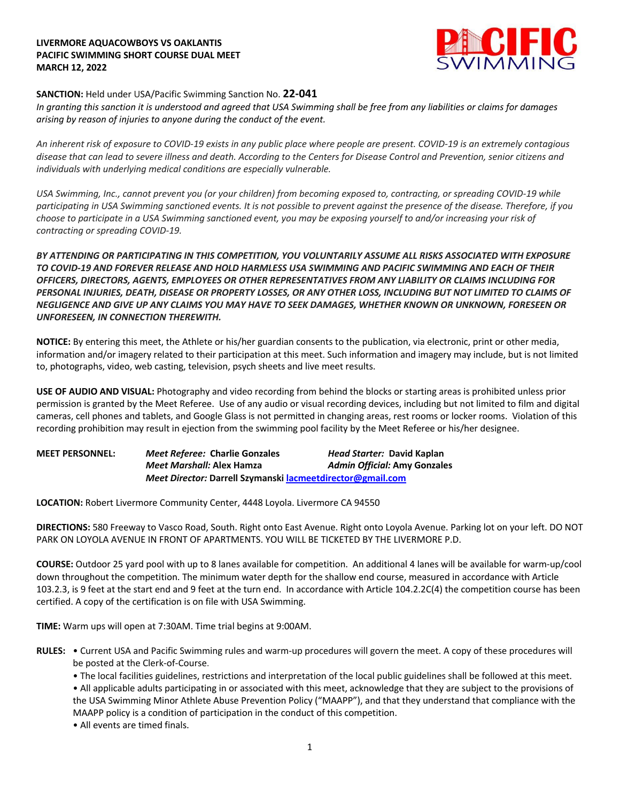## **LIVERMORE AQUACOWBOYS VS OAKLANTIS PACIFIC SWIMMING SHORT COURSE DUAL MEET MARCH 12, 2022**



## **SANCTION:** Held under USA/Pacific Swimming Sanction No. **22-041**

*In granting this sanction it is understood and agreed that USA Swimming shall be free from any liabilities or claims for damages arising by reason of injuries to anyone during the conduct of the event.*

*An inherent risk of exposure to COVID-19 exists in any public place where people are present. COVID-19 is an extremely contagious disease that can lead to severe illness and death. According to the Centers for Disease Control and Prevention, senior citizens and individuals with underlying medical conditions are especially vulnerable.*

*USA Swimming, Inc., cannot prevent you (or your children) from becoming exposed to, contracting, or spreading COVID-19 while participating in USA Swimming sanctioned events. It is not possible to prevent against the presence of the disease. Therefore, if you choose to participate in a USA Swimming sanctioned event, you may be exposing yourself to and/or increasing your risk of contracting or spreading COVID-19.*

*BY ATTENDING OR PARTICIPATING IN THIS COMPETITION, YOU VOLUNTARILY ASSUME ALL RISKS ASSOCIATED WITH EXPOSURE TO COVID-19 AND FOREVER RELEASE AND HOLD HARMLESS USA SWIMMING AND PACIFIC SWIMMING AND EACH OF THEIR OFFICERS, DIRECTORS, AGENTS, EMPLOYEES OR OTHER REPRESENTATIVES FROM ANY LIABILITY OR CLAIMS INCLUDING FOR PERSONAL INJURIES, DEATH, DISEASE OR PROPERTY LOSSES, OR ANY OTHER LOSS, INCLUDING BUT NOT LIMITED TO CLAIMS OF NEGLIGENCE AND GIVE UP ANY CLAIMS YOU MAY HAVE TO SEEK DAMAGES, WHETHER KNOWN OR UNKNOWN, FORESEEN OR UNFORESEEN, IN CONNECTION THEREWITH.*

**NOTICE:** By entering this meet, the Athlete or his/her guardian consents to the publication, via electronic, print or other media, information and/or imagery related to their participation at this meet. Such information and imagery may include, but is not limited to, photographs, video, web casting, television, psych sheets and live meet results.

**USE OF AUDIO AND VISUAL:** Photography and video recording from behind the blocks or starting areas is prohibited unless prior permission is granted by the Meet Referee. Use of any audio or visual recording devices, including but not limited to film and digital cameras, cell phones and tablets, and Google Glass is not permitted in changing areas, rest rooms or locker rooms. Violation of this recording prohibition may result in ejection from the swimming pool facility by the Meet Referee or his/her designee.

**MEET PERSONNEL:** *Meet Referee:* **Charlie Gonzales** *Head Starter:* **David Kaplan**  *Meet Marshall:* **Alex Hamza** *Admin Official:* **Amy Gonzales** *Meet Director:* **Darrell Szymanski lacmeetdirector@gmail.com**

**LOCATION:** Robert Livermore Community Center, 4448 Loyola. Livermore CA 94550

**DIRECTIONS:** 580 Freeway to Vasco Road, South. Right onto East Avenue. Right onto Loyola Avenue. Parking lot on your left. DO NOT PARK ON LOYOLA AVENUE IN FRONT OF APARTMENTS. YOU WILL BE TICKETED BY THE LIVERMORE P.D.

**COURSE:** Outdoor 25 yard pool with up to 8 lanes available for competition. An additional 4 lanes will be available for warm-up/cool down throughout the competition. The minimum water depth for the shallow end course, measured in accordance with Article 103.2.3, is 9 feet at the start end and 9 feet at the turn end. In accordance with Article 104.2.2C(4) the competition course has been certified. A copy of the certification is on file with USA Swimming.

**TIME:** Warm ups will open at 7:30AM. Time trial begins at 9:00AM.

- **RULES:** Current USA and Pacific Swimming rules and warm-up procedures will govern the meet. A copy of these procedures will be posted at the Clerk-of-Course.
	- The local facilities guidelines, restrictions and interpretation of the local public guidelines shall be followed at this meet.
	- All applicable adults participating in or associated with this meet, acknowledge that they are subject to the provisions of the USA Swimming Minor Athlete Abuse Prevention Policy ("MAAPP"), and that they understand that compliance with the MAAPP policy is a condition of participation in the conduct of this competition.
	- All events are timed finals.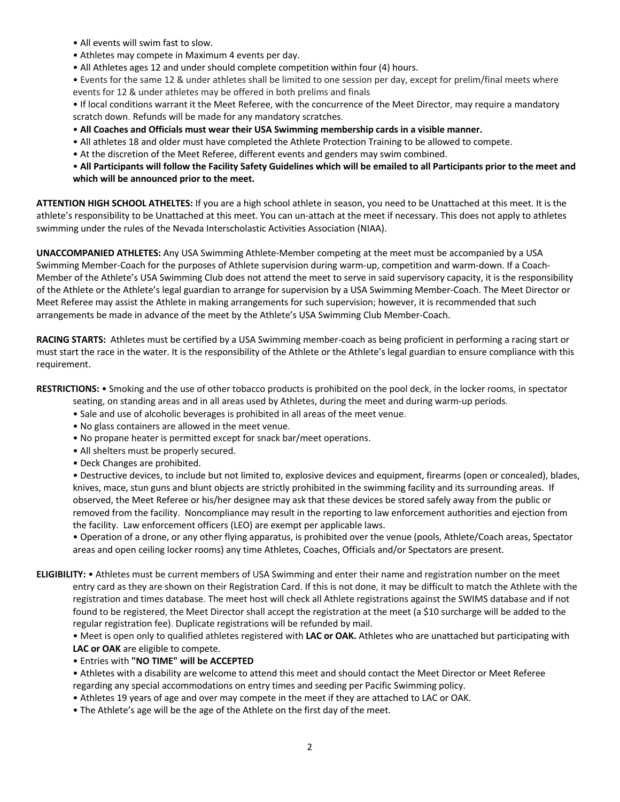- All events will swim fast to slow.
- Athletes may compete in Maximum 4 events per day.
- All Athletes ages 12 and under should complete competition within four (4) hours.

• Events for the same 12 & under athletes shall be limited to one session per day, except for prelim/final meets where events for 12 & under athletes may be offered in both prelims and finals

• If local conditions warrant it the Meet Referee, with the concurrence of the Meet Director, may require a mandatory scratch down. Refunds will be made for any mandatory scratches.

- **All Coaches and Officials must wear their USA Swimming membership cards in a visible manner.**
- All athletes 18 and older must have completed the Athlete Protection Training to be allowed to compete.
- At the discretion of the Meet Referee, different events and genders may swim combined.
- **All Participants will follow the Facility Safety Guidelines which will be emailed to all Participants prior to the meet and which will be announced prior to the meet.**

**ATTENTION HIGH SCHOOL ATHELTES:** If you are a high school athlete in season, you need to be Unattached at this meet. It is the athlete's responsibility to be Unattached at this meet. You can un-attach at the meet if necessary. This does not apply to athletes swimming under the rules of the Nevada Interscholastic Activities Association (NIAA).

**UNACCOMPANIED ATHLETES:** Any USA Swimming Athlete-Member competing at the meet must be accompanied by a USA Swimming Member-Coach for the purposes of Athlete supervision during warm-up, competition and warm-down. If a Coach-Member of the Athlete's USA Swimming Club does not attend the meet to serve in said supervisory capacity, it is the responsibility of the Athlete or the Athlete's legal guardian to arrange for supervision by a USA Swimming Member-Coach. The Meet Director or Meet Referee may assist the Athlete in making arrangements for such supervision; however, it is recommended that such arrangements be made in advance of the meet by the Athlete's USA Swimming Club Member-Coach.

**RACING STARTS:** Athletes must be certified by a USA Swimming member-coach as being proficient in performing a racing start or must start the race in the water. It is the responsibility of the Athlete or the Athlete's legal guardian to ensure compliance with this requirement.

**RESTRICTIONS:** • Smoking and the use of other tobacco products is prohibited on the pool deck, in the locker rooms, in spectator

seating, on standing areas and in all areas used by Athletes, during the meet and during warm-up periods.

- Sale and use of alcoholic beverages is prohibited in all areas of the meet venue.
- No glass containers are allowed in the meet venue.
- No propane heater is permitted except for snack bar/meet operations.
- All shelters must be properly secured.
- Deck Changes are prohibited.

• Destructive devices, to include but not limited to, explosive devices and equipment, firearms (open or concealed), blades, knives, mace, stun guns and blunt objects are strictly prohibited in the swimming facility and its surrounding areas. If observed, the Meet Referee or his/her designee may ask that these devices be stored safely away from the public or removed from the facility. Noncompliance may result in the reporting to law enforcement authorities and ejection from the facility. Law enforcement officers (LEO) are exempt per applicable laws.

• Operation of a drone, or any other flying apparatus, is prohibited over the venue (pools, Athlete/Coach areas, Spectator areas and open ceiling locker rooms) any time Athletes, Coaches, Officials and/or Spectators are present.

**ELIGIBILITY:** • Athletes must be current members of USA Swimming and enter their name and registration number on the meet entry card as they are shown on their Registration Card. If this is not done, it may be difficult to match the Athlete with the registration and times database. The meet host will check all Athlete registrations against the SWIMS database and if not found to be registered, the Meet Director shall accept the registration at the meet (a \$10 surcharge will be added to the regular registration fee). Duplicate registrations will be refunded by mail.

• Meet is open only to qualified athletes registered with **LAC or OAK.** Athletes who are unattached but participating with **LAC or OAK** are eligible to compete.

• Entries with **"NO TIME" will be ACCEPTED** 

• Athletes with a disability are welcome to attend this meet and should contact the Meet Director or Meet Referee regarding any special accommodations on entry times and seeding per Pacific Swimming policy.

- Athletes 19 years of age and over may compete in the meet if they are attached to LAC or OAK.
- The Athlete's age will be the age of the Athlete on the first day of the meet.